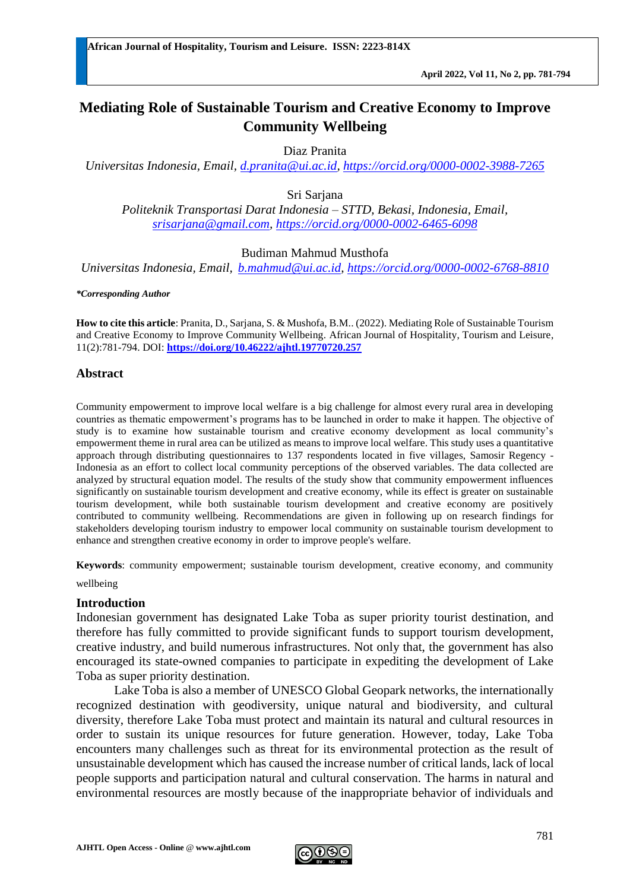# **Mediating Role of Sustainable Tourism and Creative Economy to Improve Community Wellbeing**

Diaz Pranita

*Universitas Indonesia, Email, [d.pranita@ui.ac.id,](mailto:d.pranita@ui.ac.id)<https://orcid.org/0000-0002-3988-7265>*

Sri Sarjana

*Politeknik Transportasi Darat Indonesia – STTD, Bekasi, Indonesia, Email, [srisarjana@gmail.com,](mailto:srisarjana@gmail.com) [https://orcid.org/0000-0002-6465-6098](https://orcid.org/)*

#### Budiman Mahmud Musthofa

*Universitas Indonesia, Email, [b.mahmud@ui.ac.id,](mailto:b.mahmud@ui.ac.id)<https://orcid.org/0000-0002-6768-8810>*

*\*Corresponding Author*

**How to cite this article**: Pranita, D., Sarjana, S. & Mushofa, B.M.. (2022). Mediating Role of Sustainable Tourism and Creative Economy to Improve Community Wellbeing. African Journal of Hospitality, Tourism and Leisure, 11(2):781-794. DOI: **<https://doi.org/10.46222/ajhtl.19770720.257>**

#### **Abstract**

Community empowerment to improve local welfare is a big challenge for almost every rural area in developing countries as thematic empowerment's programs has to be launched in order to make it happen. The objective of study is to examine how sustainable tourism and creative economy development as local community's empowerment theme in rural area can be utilized as means to improve local welfare. This study uses a quantitative approach through distributing questionnaires to 137 respondents located in five villages, Samosir Regency - Indonesia as an effort to collect local community perceptions of the observed variables. The data collected are analyzed by structural equation model. The results of the study show that community empowerment influences significantly on sustainable tourism development and creative economy, while its effect is greater on sustainable tourism development, while both sustainable tourism development and creative economy are positively contributed to community wellbeing. Recommendations are given in following up on research findings for stakeholders developing tourism industry to empower local community on sustainable tourism development to enhance and strengthen creative economy in order to improve people's welfare.

**Keywords**: community empowerment; sustainable tourism development, creative economy, and community

wellbeing

#### **Introduction**

Indonesian government has designated Lake Toba as super priority tourist destination, and therefore has fully committed to provide significant funds to support tourism development, creative industry, and build numerous infrastructures. Not only that, the government has also encouraged its state-owned companies to participate in expediting the development of Lake Toba as super priority destination.

Lake Toba is also a member of UNESCO Global Geopark networks, the internationally recognized destination with geodiversity, unique natural and biodiversity, and cultural diversity, therefore Lake Toba must protect and maintain its natural and cultural resources in order to sustain its unique resources for future generation. However, today, Lake Toba encounters many challenges such as threat for its environmental protection as the result of unsustainable development which has caused the increase number of critical lands, lack of local people supports and participation natural and cultural conservation. The harms in natural and environmental resources are mostly because of the inappropriate behavior of individuals and

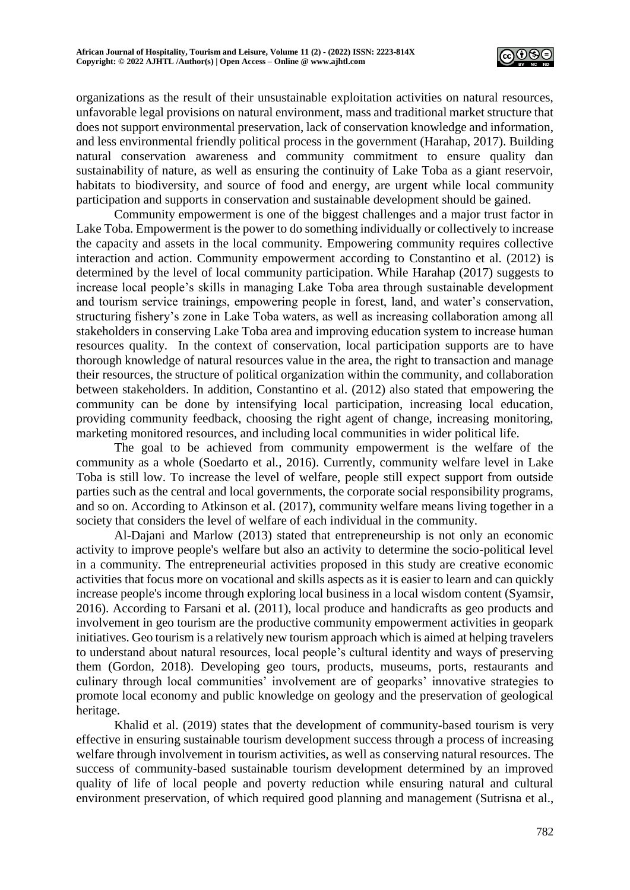

organizations as the result of their unsustainable exploitation activities on natural resources, unfavorable legal provisions on natural environment, mass and traditional market structure that does not support environmental preservation, lack of conservation knowledge and information, and less environmental friendly political process in the government (Harahap, 2017). Building natural conservation awareness and community commitment to ensure quality dan sustainability of nature, as well as ensuring the continuity of Lake Toba as a giant reservoir, habitats to biodiversity, and source of food and energy, are urgent while local community participation and supports in conservation and sustainable development should be gained.

Community empowerment is one of the biggest challenges and a major trust factor in Lake Toba. Empowerment is the power to do something individually or collectively to increase the capacity and assets in the local community. Empowering community requires collective interaction and action. Community empowerment according to Constantino et al. (2012) is determined by the level of local community participation. While Harahap (2017) suggests to increase local people's skills in managing Lake Toba area through sustainable development and tourism service trainings, empowering people in forest, land, and water's conservation, structuring fishery's zone in Lake Toba waters, as well as increasing collaboration among all stakeholders in conserving Lake Toba area and improving education system to increase human resources quality. In the context of conservation, local participation supports are to have thorough knowledge of natural resources value in the area, the right to transaction and manage their resources, the structure of political organization within the community, and collaboration between stakeholders. In addition, Constantino et al. (2012) also stated that empowering the community can be done by intensifying local participation, increasing local education, providing community feedback, choosing the right agent of change, increasing monitoring, marketing monitored resources, and including local communities in wider political life.

The goal to be achieved from community empowerment is the welfare of the community as a whole (Soedarto et al*.*, 2016). Currently, community welfare level in Lake Toba is still low. To increase the level of welfare, people still expect support from outside parties such as the central and local governments, the corporate social responsibility programs, and so on. According to Atkinson et al. (2017), community welfare means living together in a society that considers the level of welfare of each individual in the community.

Al-Dajani and Marlow (2013) stated that entrepreneurship is not only an economic activity to improve people's welfare but also an activity to determine the socio-political level in a community. The entrepreneurial activities proposed in this study are creative economic activities that focus more on vocational and skills aspects as it is easier to learn and can quickly increase people's income through exploring local business in a local wisdom content (Syamsir, 2016). According to Farsani et al. (2011), local produce and handicrafts as geo products and involvement in geo tourism are the productive community empowerment activities in geopark initiatives. Geo tourism is a relatively new tourism approach which is aimed at helping travelers to understand about natural resources, local people's cultural identity and ways of preserving them (Gordon, 2018). Developing geo tours, products, museums, ports, restaurants and culinary through local communities' involvement are of geoparks' innovative strategies to promote local economy and public knowledge on geology and the preservation of geological heritage.

Khalid et al. (2019) states that the development of community-based tourism is very effective in ensuring sustainable tourism development success through a process of increasing welfare through involvement in tourism activities, as well as conserving natural resources. The success of community-based sustainable tourism development determined by an improved quality of life of local people and poverty reduction while ensuring natural and cultural environment preservation, of which required good planning and management (Sutrisna et al.,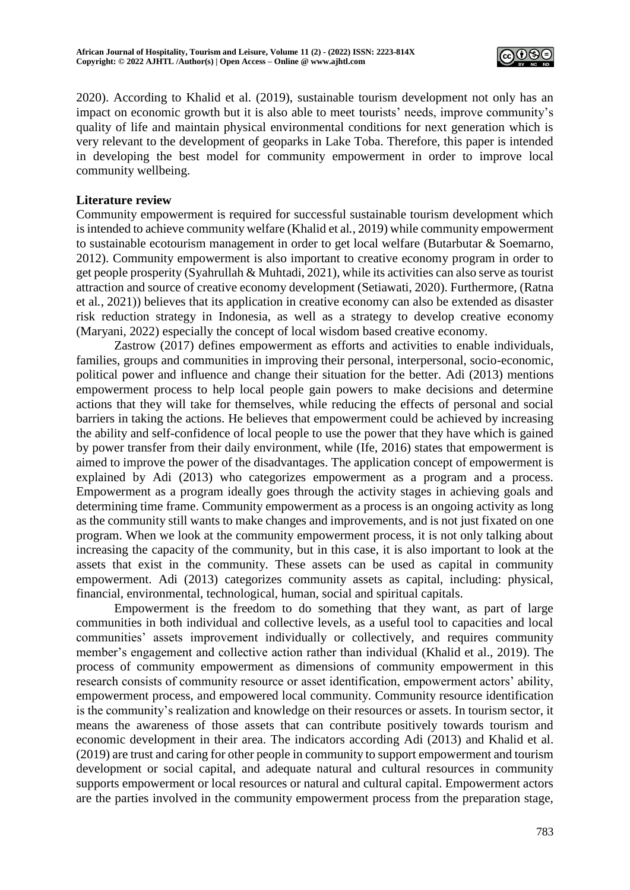

2020). According to Khalid et al. (2019), sustainable tourism development not only has an impact on economic growth but it is also able to meet tourists' needs, improve community's quality of life and maintain physical environmental conditions for next generation which is very relevant to the development of geoparks in Lake Toba. Therefore, this paper is intended in developing the best model for community empowerment in order to improve local community wellbeing.

## **Literature review**

Community empowerment is required for successful sustainable tourism development which is intended to achieve community welfare (Khalid et al*.*, 2019) while community empowerment to sustainable ecotourism management in order to get local welfare (Butarbutar & Soemarno, 2012). Community empowerment is also important to creative economy program in order to get people prosperity (Syahrullah & Muhtadi, 2021), while its activities can also serve as tourist attraction and source of creative economy development (Setiawati, 2020). Furthermore, (Ratna et al*.*, 2021)) believes that its application in creative economy can also be extended as disaster risk reduction strategy in Indonesia, as well as a strategy to develop creative economy (Maryani, 2022) especially the concept of local wisdom based creative economy.

Zastrow (2017) defines empowerment as efforts and activities to enable individuals, families, groups and communities in improving their personal, interpersonal, socio-economic, political power and influence and change their situation for the better. Adi (2013) mentions empowerment process to help local people gain powers to make decisions and determine actions that they will take for themselves, while reducing the effects of personal and social barriers in taking the actions. He believes that empowerment could be achieved by increasing the ability and self-confidence of local people to use the power that they have which is gained by power transfer from their daily environment, while (Ife, 2016) states that empowerment is aimed to improve the power of the disadvantages. The application concept of empowerment is explained by Adi (2013) who categorizes empowerment as a program and a process. Empowerment as a program ideally goes through the activity stages in achieving goals and determining time frame. Community empowerment as a process is an ongoing activity as long as the community still wants to make changes and improvements, and is not just fixated on one program. When we look at the community empowerment process, it is not only talking about increasing the capacity of the community, but in this case, it is also important to look at the assets that exist in the community. These assets can be used as capital in community empowerment. Adi (2013) categorizes community assets as capital, including: physical, financial, environmental, technological, human, social and spiritual capitals.

Empowerment is the freedom to do something that they want, as part of large communities in both individual and collective levels, as a useful tool to capacities and local communities' assets improvement individually or collectively, and requires community member's engagement and collective action rather than individual (Khalid et al., 2019). The process of community empowerment as dimensions of community empowerment in this research consists of community resource or asset identification, empowerment actors' ability, empowerment process, and empowered local community. Community resource identification is the community's realization and knowledge on their resources or assets. In tourism sector, it means the awareness of those assets that can contribute positively towards tourism and economic development in their area. The indicators according Adi (2013) and Khalid et al. (2019) are trust and caring for other people in community to support empowerment and tourism development or social capital, and adequate natural and cultural resources in community supports empowerment or local resources or natural and cultural capital. Empowerment actors are the parties involved in the community empowerment process from the preparation stage,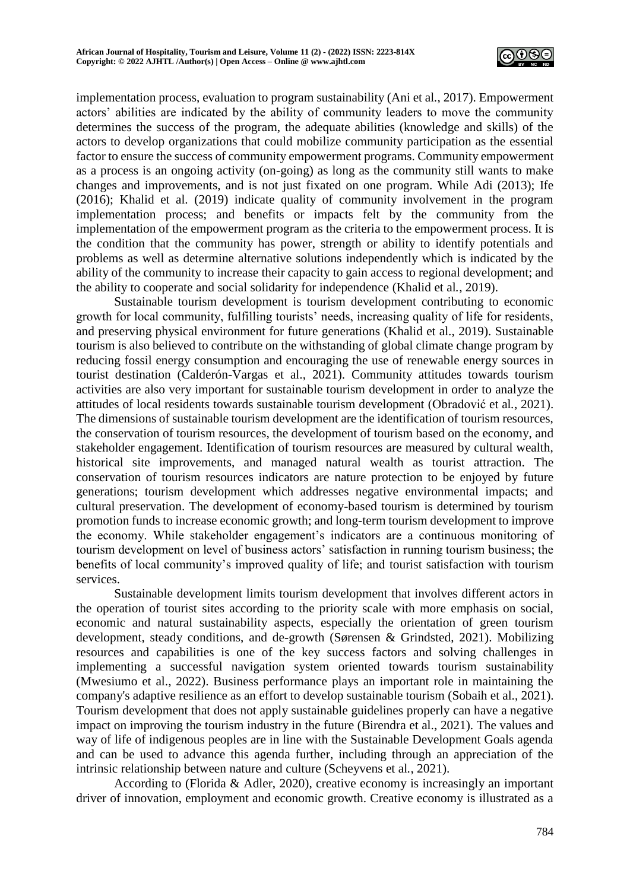

implementation process, evaluation to program sustainability (Ani et al*.*, 2017). Empowerment actors' abilities are indicated by the ability of community leaders to move the community determines the success of the program, the adequate abilities (knowledge and skills) of the actors to develop organizations that could mobilize community participation as the essential factor to ensure the success of community empowerment programs. Community empowerment as a process is an ongoing activity (on-going) as long as the community still wants to make changes and improvements, and is not just fixated on one program. While Adi (2013); Ife (2016); Khalid et al. (2019) indicate quality of community involvement in the program implementation process; and benefits or impacts felt by the community from the implementation of the empowerment program as the criteria to the empowerment process. It is the condition that the community has power, strength or ability to identify potentials and problems as well as determine alternative solutions independently which is indicated by the ability of the community to increase their capacity to gain access to regional development; and the ability to cooperate and social solidarity for independence (Khalid et al*.*, 2019).

Sustainable tourism development is tourism development contributing to economic growth for local community, fulfilling tourists' needs, increasing quality of life for residents, and preserving physical environment for future generations (Khalid et al., 2019). Sustainable tourism is also believed to contribute on the withstanding of global climate change program by reducing fossil energy consumption and encouraging the use of renewable energy sources in tourist destination (Calderón-Vargas et al., 2021). Community attitudes towards tourism activities are also very important for sustainable tourism development in order to analyze the attitudes of local residents towards sustainable tourism development (Obradović et al*.*, 2021). The dimensions of sustainable tourism development are the identification of tourism resources, the conservation of tourism resources, the development of tourism based on the economy, and stakeholder engagement. Identification of tourism resources are measured by cultural wealth, historical site improvements, and managed natural wealth as tourist attraction. The conservation of tourism resources indicators are nature protection to be enjoyed by future generations; tourism development which addresses negative environmental impacts; and cultural preservation. The development of economy-based tourism is determined by tourism promotion funds to increase economic growth; and long-term tourism development to improve the economy. While stakeholder engagement's indicators are a continuous monitoring of tourism development on level of business actors' satisfaction in running tourism business; the benefits of local community's improved quality of life; and tourist satisfaction with tourism services.

Sustainable development limits tourism development that involves different actors in the operation of tourist sites according to the priority scale with more emphasis on social, economic and natural sustainability aspects, especially the orientation of green tourism development, steady conditions, and de-growth (Sørensen & Grindsted, 2021). Mobilizing resources and capabilities is one of the key success factors and solving challenges in implementing a successful navigation system oriented towards tourism sustainability (Mwesiumo et al., 2022). Business performance plays an important role in maintaining the company's adaptive resilience as an effort to develop sustainable tourism (Sobaih et al., 2021). Tourism development that does not apply sustainable guidelines properly can have a negative impact on improving the tourism industry in the future (Birendra et al., 2021). The values and way of life of indigenous peoples are in line with the Sustainable Development Goals agenda and can be used to advance this agenda further, including through an appreciation of the intrinsic relationship between nature and culture (Scheyvens et al*.*, 2021).

According to (Florida & Adler, 2020), creative economy is increasingly an important driver of innovation, employment and economic growth. Creative economy is illustrated as a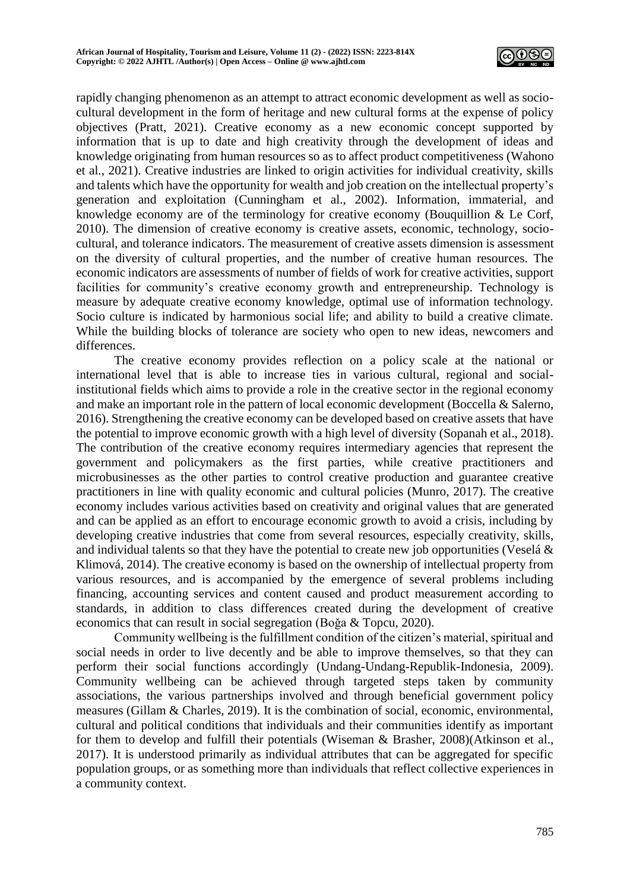

rapidly changing phenomenon as an attempt to attract economic development as well as sociocultural development in the form of heritage and new cultural forms at the expense of policy objectives (Pratt, 2021). Creative economy as a new economic concept supported by information that is up to date and high creativity through the development of ideas and knowledge originating from human resources so as to affect product competitiveness (Wahono et al., 2021). Creative industries are linked to origin activities for individual creativity, skills and talents which have the opportunity for wealth and job creation on the intellectual property's generation and exploitation (Cunningham et al., 2002). Information, immaterial, and knowledge economy are of the terminology for creative economy (Bouquillion & Le Corf, 2010). The dimension of creative economy is creative assets, economic, technology, sociocultural, and tolerance indicators. The measurement of creative assets dimension is assessment on the diversity of cultural properties, and the number of creative human resources. The economic indicators are assessments of number of fields of work for creative activities, support facilities for community's creative economy growth and entrepreneurship. Technology is measure by adequate creative economy knowledge, optimal use of information technology. Socio culture is indicated by harmonious social life; and ability to build a creative climate. While the building blocks of tolerance are society who open to new ideas, newcomers and differences.

The creative economy provides reflection on a policy scale at the national or international level that is able to increase ties in various cultural, regional and socialinstitutional fields which aims to provide a role in the creative sector in the regional economy and make an important role in the pattern of local economic development (Boccella & Salerno, 2016). Strengthening the creative economy can be developed based on creative assets that have the potential to improve economic growth with a high level of diversity (Sopanah et al., 2018). The contribution of the creative economy requires intermediary agencies that represent the government and policymakers as the first parties, while creative practitioners and microbusinesses as the other parties to control creative production and guarantee creative practitioners in line with quality economic and cultural policies (Munro, 2017). The creative economy includes various activities based on creativity and original values that are generated and can be applied as an effort to encourage economic growth to avoid a crisis, including by developing creative industries that come from several resources, especially creativity, skills, and individual talents so that they have the potential to create new job opportunities (Veselá  $\&$ Klimová, 2014). The creative economy is based on the ownership of intellectual property from various resources, and is accompanied by the emergence of several problems including financing, accounting services and content caused and product measurement according to standards, in addition to class differences created during the development of creative economics that can result in social segregation (Boǧa & Topcu, 2020).

Community wellbeing is the fulfillment condition of the citizen's material, spiritual and social needs in order to live decently and be able to improve themselves, so that they can perform their social functions accordingly (Undang-Undang-Republik-Indonesia, 2009). Community wellbeing can be achieved through targeted steps taken by community associations, the various partnerships involved and through beneficial government policy measures (Gillam & Charles, 2019). It is the combination of social, economic, environmental, cultural and political conditions that individuals and their communities identify as important for them to develop and fulfill their potentials (Wiseman & Brasher, 2008)(Atkinson et al., 2017). It is understood primarily as individual attributes that can be aggregated for specific population groups, or as something more than individuals that reflect collective experiences in a community context.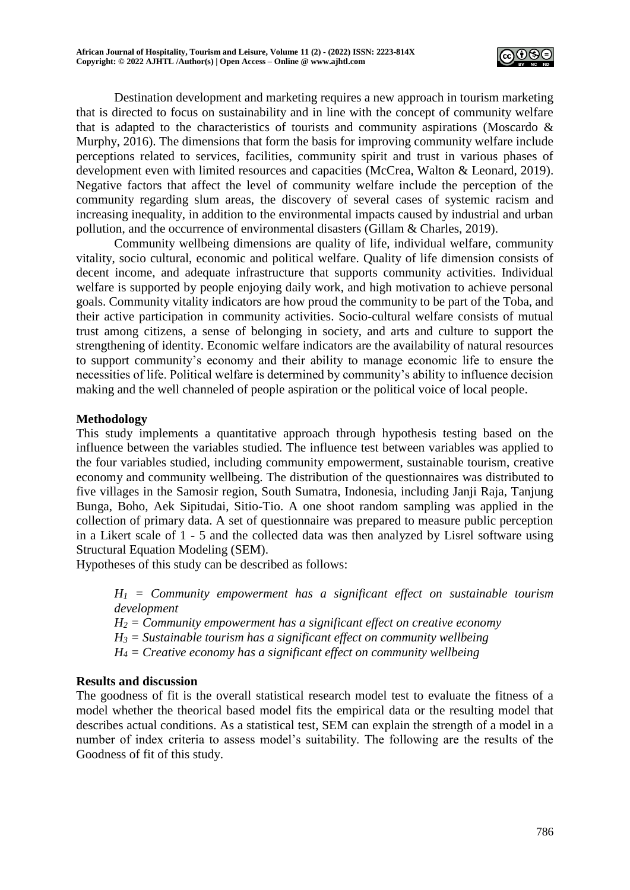

Destination development and marketing requires a new approach in tourism marketing that is directed to focus on sustainability and in line with the concept of community welfare that is adapted to the characteristics of tourists and community aspirations (Moscardo & Murphy, 2016). The dimensions that form the basis for improving community welfare include perceptions related to services, facilities, community spirit and trust in various phases of development even with limited resources and capacities (McCrea, Walton & Leonard, 2019). Negative factors that affect the level of community welfare include the perception of the community regarding slum areas, the discovery of several cases of systemic racism and increasing inequality, in addition to the environmental impacts caused by industrial and urban pollution, and the occurrence of environmental disasters (Gillam & Charles, 2019).

Community wellbeing dimensions are quality of life, individual welfare, community vitality, socio cultural, economic and political welfare. Quality of life dimension consists of decent income, and adequate infrastructure that supports community activities. Individual welfare is supported by people enjoying daily work, and high motivation to achieve personal goals. Community vitality indicators are how proud the community to be part of the Toba, and their active participation in community activities. Socio-cultural welfare consists of mutual trust among citizens, a sense of belonging in society, and arts and culture to support the strengthening of identity. Economic welfare indicators are the availability of natural resources to support community's economy and their ability to manage economic life to ensure the necessities of life. Political welfare is determined by community's ability to influence decision making and the well channeled of people aspiration or the political voice of local people.

## **Methodology**

This study implements a quantitative approach through hypothesis testing based on the influence between the variables studied. The influence test between variables was applied to the four variables studied, including community empowerment, sustainable tourism, creative economy and community wellbeing. The distribution of the questionnaires was distributed to five villages in the Samosir region, South Sumatra, Indonesia, including Janji Raja, Tanjung Bunga, Boho, Aek Sipitudai, Sitio-Tio. A one shoot random sampling was applied in the collection of primary data. A set of questionnaire was prepared to measure public perception in a Likert scale of 1 - 5 and the collected data was then analyzed by Lisrel software using Structural Equation Modeling (SEM).

Hypotheses of this study can be described as follows:

 $H_1$  = Community empowerment has a significant effect on sustainable tourism *development*

 $H_2 =$  *Community empowerment has a significant effect on creative economy* 

*H<sup>3</sup> = Sustainable tourism has a significant effect on community wellbeing*

*H<sup>4</sup> = Creative economy has a significant effect on community wellbeing*

## **Results and discussion**

The goodness of fit is the overall statistical research model test to evaluate the fitness of a model whether the theorical based model fits the empirical data or the resulting model that describes actual conditions. As a statistical test, SEM can explain the strength of a model in a number of index criteria to assess model's suitability. The following are the results of the Goodness of fit of this study.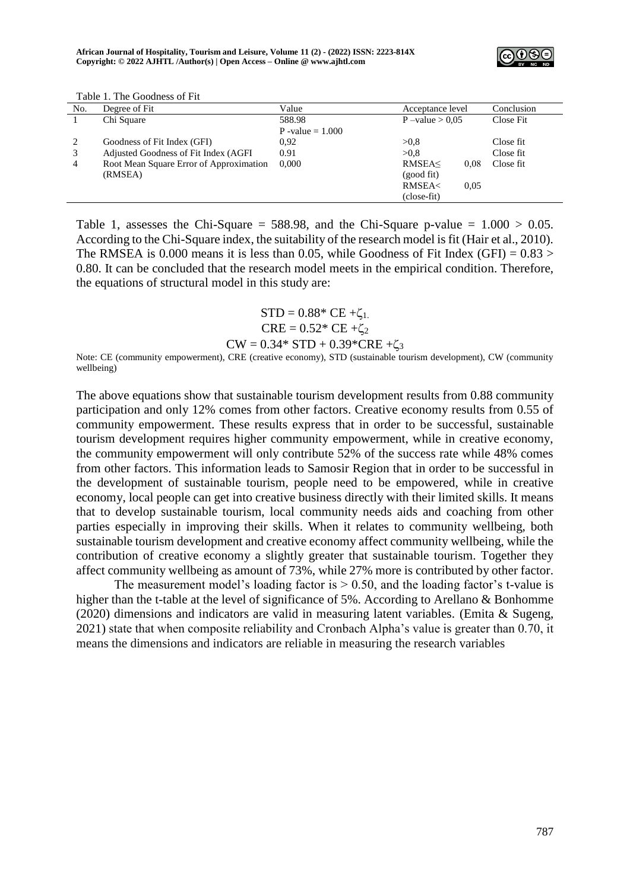

| No.            | Degree of Fit                           | Value              | Acceptance level                                | Conclusion |
|----------------|-----------------------------------------|--------------------|-------------------------------------------------|------------|
|                | Chi Square                              | 588.98             | $P$ –value $> 0.05$                             | Close Fit  |
|                |                                         | P -value $= 1.000$ |                                                 |            |
| 2              | Goodness of Fit Index (GFI)             | 0.92               | >0.8                                            | Close fit  |
| 3              | Adjusted Goodness of Fit Index (AGFI    | 0.91               | >0.8                                            | Close fit  |
| $\overline{4}$ | Root Mean Square Error of Approximation | 0.000              | RMSEA<<br>0.08                                  | Close fit  |
|                | (RMSEA)                                 |                    | (good fit)                                      |            |
|                |                                         |                    | <b>RMSEA<br/> <math>\epsilon</math></b><br>0.05 |            |
|                |                                         |                    | (close-fit)                                     |            |

Table 1. The Goodness of Fit

Table 1, assesses the Chi-Square = 588.98, and the Chi-Square p-value =  $1.000 > 0.05$ . According to the Chi-Square index, the suitability of the research model is fit (Hair et al., 2010). The RMSEA is 0.000 means it is less than 0.05, while Goodness of Fit Index (GFI) =  $0.83 >$ 0.80. It can be concluded that the research model meets in the empirical condition. Therefore, the equations of structural model in this study are:

> $STD = 0.88*$  CE + $\zeta_1$ .  $CRE = 0.52 * CE + \zeta_2$  $CW = 0.34*$  STD + 0.39\*CRE + $\zeta_3$

Note: CE (community empowerment), CRE (creative economy), STD (sustainable tourism development), CW (community wellbeing)

The above equations show that sustainable tourism development results from 0.88 community participation and only 12% comes from other factors. Creative economy results from 0.55 of community empowerment. These results express that in order to be successful, sustainable tourism development requires higher community empowerment, while in creative economy, the community empowerment will only contribute 52% of the success rate while 48% comes from other factors. This information leads to Samosir Region that in order to be successful in the development of sustainable tourism, people need to be empowered, while in creative economy, local people can get into creative business directly with their limited skills. It means that to develop sustainable tourism, local community needs aids and coaching from other parties especially in improving their skills. When it relates to community wellbeing, both sustainable tourism development and creative economy affect community wellbeing, while the contribution of creative economy a slightly greater that sustainable tourism. Together they affect community wellbeing as amount of 73%, while 27% more is contributed by other factor.

The measurement model's loading factor is  $> 0.50$ , and the loading factor's t-value is higher than the t-table at the level of significance of 5%. According to Arellano & Bonhomme (2020) dimensions and indicators are valid in measuring latent variables. (Emita & Sugeng, 2021) state that when composite reliability and Cronbach Alpha's value is greater than 0.70, it means the dimensions and indicators are reliable in measuring the research variables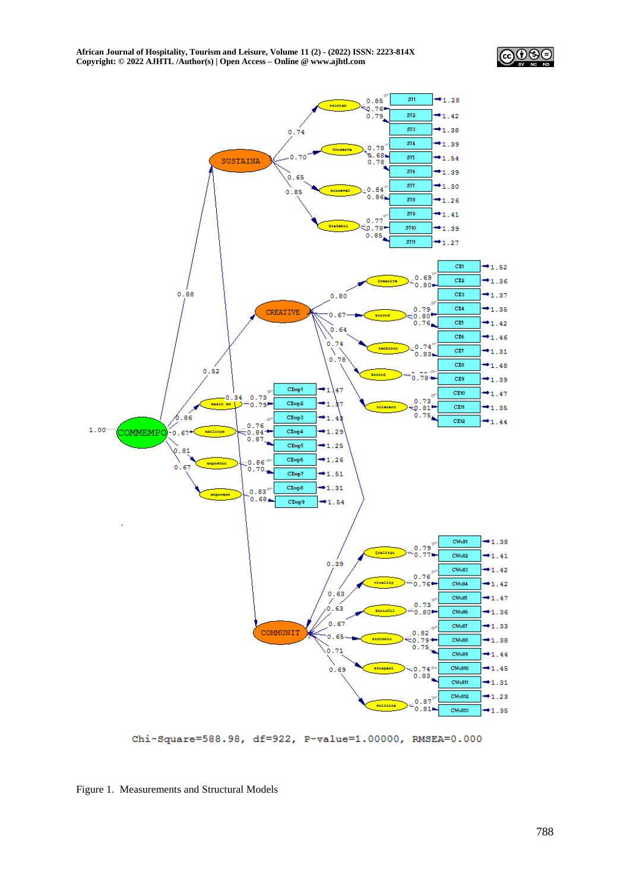



Chi-Square=588.98, df=922, P-value=1.00000, RMSEA=0.000

Figure 1. Measurements and Structural Models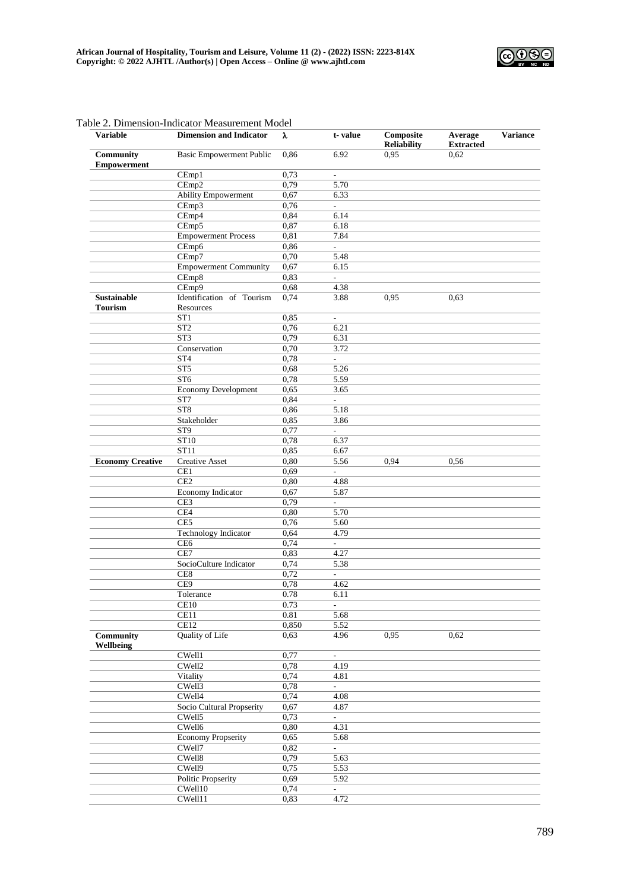

|                                      | abic 2. Dhiichsion-muicator measurement iviouer |              |                          |                                 |                             |                 |
|--------------------------------------|-------------------------------------------------|--------------|--------------------------|---------------------------------|-----------------------------|-----------------|
| <b>Variable</b>                      | <b>Dimension and Indicator</b>                  | λ            | t-value                  | Composite<br><b>Reliability</b> | Average<br><b>Extracted</b> | <b>Variance</b> |
| <b>Community</b>                     | <b>Basic Empowerment Public</b>                 | 0.86         | 6.92                     | 0,95                            | 0.62                        |                 |
| <b>Empowerment</b>                   |                                                 |              |                          |                                 |                             |                 |
|                                      | CEmp1                                           | 0,73         | $\frac{1}{2}$            |                                 |                             |                 |
|                                      | CEmp2                                           | 0,79         | 5.70                     |                                 |                             |                 |
|                                      | <b>Ability Empowerment</b>                      | 0,67         | 6.33                     |                                 |                             |                 |
|                                      | CEmp3                                           | 0,76         | $\mathbf{r}$             |                                 |                             |                 |
|                                      | CEmp4                                           | 0.84         | 6.14                     |                                 |                             |                 |
|                                      | CEmp5                                           | 0,87         | 6.18                     |                                 |                             |                 |
|                                      | <b>Empowerment Process</b>                      | 0,81         | 7.84                     |                                 |                             |                 |
|                                      | CEmp6                                           | 0,86         | L.                       |                                 |                             |                 |
|                                      | CEmp7                                           | 0,70         | 5.48                     |                                 |                             |                 |
|                                      | <b>Empowerment Community</b>                    | 0,67         | 6.15                     |                                 |                             |                 |
|                                      | CEmp8                                           | 0,83         | L.                       |                                 |                             |                 |
|                                      | CEmp9                                           | 0.68         | 4.38                     |                                 |                             |                 |
| <b>Sustainable</b><br><b>Tourism</b> | Identification of Tourism<br>Resources          | 0,74         | 3.88                     | 0,95                            | 0,63                        |                 |
|                                      | ST <sub>1</sub>                                 | 0,85         | ÷,                       |                                 |                             |                 |
|                                      | ST <sub>2</sub>                                 | 0,76         | 6.21                     |                                 |                             |                 |
|                                      | ST <sub>3</sub>                                 | 0,79         | 6.31                     |                                 |                             |                 |
|                                      | Conservation                                    | 0,70         | 3.72                     |                                 |                             |                 |
|                                      | ST4                                             | 0,78         | L.                       |                                 |                             |                 |
|                                      | ST5                                             | 0,68         | 5.26                     |                                 |                             |                 |
|                                      | ST6                                             | 0,78         | 5.59                     |                                 |                             |                 |
|                                      | <b>Economy Development</b>                      | 0,65         | 3.65                     |                                 |                             |                 |
|                                      | ST7                                             | 0.84         | $\frac{1}{2}$            |                                 |                             |                 |
|                                      | ST <sub>8</sub>                                 | 0,86         | 5.18                     |                                 |                             |                 |
|                                      | Stakeholder                                     | 0,85         | 3.86                     |                                 |                             |                 |
|                                      | ST9                                             | 0,77         | $\overline{\phantom{a}}$ |                                 |                             |                 |
|                                      | ST10                                            | 0,78         | 6.37                     |                                 |                             |                 |
|                                      | ST11                                            | 0,85         | 6.67                     |                                 |                             |                 |
| <b>Economy Creative</b>              | <b>Creative Asset</b>                           | 0,80         | 5.56                     | 0.94                            | 0.56                        |                 |
|                                      | CE1                                             | 0,69         | ÷.                       |                                 |                             |                 |
|                                      | CE <sub>2</sub>                                 |              |                          |                                 |                             |                 |
|                                      |                                                 | 0.80<br>0,67 | 4.88                     |                                 |                             |                 |
|                                      | <b>Economy Indicator</b>                        |              | 5.87                     |                                 |                             |                 |
|                                      | CE3                                             | 0,79         | L.                       |                                 |                             |                 |
|                                      | CE4                                             | 0,80         | 5.70                     |                                 |                             |                 |
|                                      | CE5                                             | 0,76         | 5.60                     |                                 |                             |                 |
|                                      | Technology Indicator                            | 0.64         | 4.79                     |                                 |                             |                 |
|                                      | CE <sub>6</sub>                                 | 0,74         | $\overline{\phantom{0}}$ |                                 |                             |                 |
|                                      | CE7                                             | 0.83         | 4.27                     |                                 |                             |                 |
|                                      | SocioCulture Indicator                          | 0,74         | 5.38                     |                                 |                             |                 |
|                                      | CE8                                             | 0,72         | ä,                       |                                 |                             |                 |
|                                      | CE9                                             | 0,78         | 4.62                     |                                 |                             |                 |
|                                      | Tolerance                                       | 0.78         | 6.11                     |                                 |                             |                 |
|                                      | CE10                                            | 0.73         | ÷,                       |                                 |                             |                 |
|                                      | CE11                                            | 0.81         | 5.68                     |                                 |                             |                 |
|                                      | CE12                                            | 0,850        | 5.52                     |                                 |                             |                 |
| <b>Community</b><br>Wellbeing        | Quality of Life                                 | 0,63         | 4.96                     | 0,95                            | 0,62                        |                 |
|                                      | CWell1                                          | 0,77         | L.                       |                                 |                             |                 |
|                                      | CWell2                                          | 0,78         | 4.19                     |                                 |                             |                 |
|                                      | Vitality                                        | 0,74         | 4.81                     |                                 |                             |                 |
|                                      | CWell3                                          | 0,78         | ÷.                       |                                 |                             |                 |
|                                      | CWell4                                          | 0,74         | 4.08                     |                                 |                             |                 |
|                                      | Socio Cultural Propserity                       | 0,67         | 4.87                     |                                 |                             |                 |
|                                      | CWell5                                          | 0,73         | ÷,                       |                                 |                             |                 |
|                                      | CWell6                                          | 0,80         | 4.31                     |                                 |                             |                 |
|                                      | <b>Economy Propserity</b>                       | 0,65         | 5.68                     |                                 |                             |                 |
|                                      | CWell7                                          | 0,82         | $\overline{a}$           |                                 |                             |                 |
|                                      | CWell8                                          | 0,79         | 5.63                     |                                 |                             |                 |
|                                      |                                                 |              |                          |                                 |                             |                 |
|                                      | CWell9                                          | 0,75         | 5.53                     |                                 |                             |                 |
|                                      | Politic Propserity                              | 0,69         | 5.92                     |                                 |                             |                 |
|                                      | CWell10                                         | 0,74         | ÷.                       |                                 |                             |                 |
|                                      | CWell11                                         | 0,83         | 4.72                     |                                 |                             |                 |

#### Table 2. Dimension-Indicator Measurement Model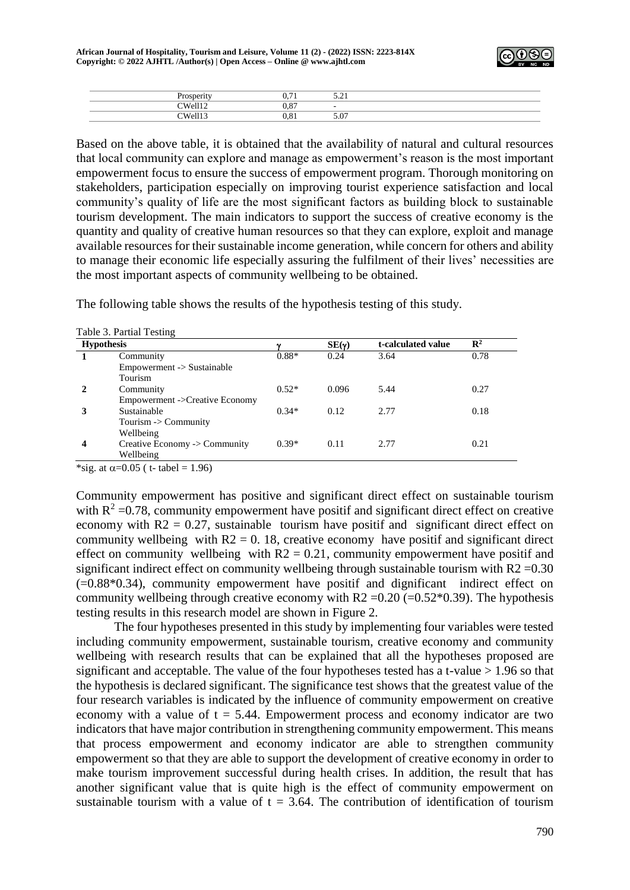

| $   -$<br>.                      | $\sim$<br>-<br>ິ          | $ -$<br>$\sim$ $\sim$ $\sim$ |
|----------------------------------|---------------------------|------------------------------|
| $\gamma$ W <sub>0</sub> .<br>. . | $\sim$ $\sim$<br>÷<br>,.o |                              |
| CVI                              | $\sim$<br>, o<br>         | $\epsilon$ 07<br>J.V         |

Based on the above table, it is obtained that the availability of natural and cultural resources that local community can explore and manage as empowerment's reason is the most important empowerment focus to ensure the success of empowerment program. Thorough monitoring on stakeholders, participation especially on improving tourist experience satisfaction and local community's quality of life are the most significant factors as building block to sustainable tourism development. The main indicators to support the success of creative economy is the quantity and quality of creative human resources so that they can explore, exploit and manage available resources for their sustainable income generation, while concern for others and ability to manage their economic life especially assuring the fulfilment of their lives' necessities are the most important aspects of community wellbeing to be obtained.

The following table shows the results of the hypothesis testing of this study.

| <b>Hypothesis</b> |                                 |         | $SE(\gamma)$ | t-calculated value | $\mathbf{R}^2$ |
|-------------------|---------------------------------|---------|--------------|--------------------|----------------|
|                   | Community                       | $0.88*$ | 0.24         | 3.64               | 0.78           |
|                   | $Empowerment$ -> Sustainable    |         |              |                    |                |
|                   | Tourism                         |         |              |                    |                |
|                   | Community                       | $0.52*$ | 0.096        | 5.44               | 0.27           |
|                   | Empowerment ->Creative Economy  |         |              |                    |                |
|                   | Sustainable                     | $0.34*$ | 0.12         | 2.77               | 0.18           |
|                   | Tourism $\rightarrow$ Community |         |              |                    |                |
|                   | Wellbeing                       |         |              |                    |                |
| 4                 | Creative Economy -> Community   | $0.39*$ | 0.11         | 2.77               | 0.21           |
|                   | Wellbeing                       |         |              |                    |                |

Table 3. Partial Testing

\*sig. at  $\alpha$ =0.05 ( t- tabel = 1.96)

Community empowerment has positive and significant direct effect on sustainable tourism with  $R^2$  =0.78, community empowerment have positif and significant direct effect on creative economy with  $R2 = 0.27$ , sustainable tourism have positif and significant direct effect on community wellbeing with  $R2 = 0$ . 18, creative economy have positif and significant direct effect on community wellbeing with  $R2 = 0.21$ , community empowerment have positif and significant indirect effect on community wellbeing through sustainable tourism with  $R2 = 0.30$ (=0.88\*0.34), community empowerment have positif and dignificant indirect effect on community wellbeing through creative economy with  $R2 = 0.20$  ( $= 0.52*0.39$ ). The hypothesis testing results in this research model are shown in Figure 2.

The four hypotheses presented in this study by implementing four variables were tested including community empowerment, sustainable tourism, creative economy and community wellbeing with research results that can be explained that all the hypotheses proposed are significant and acceptable. The value of the four hypotheses tested has a t-value > 1.96 so that the hypothesis is declared significant. The significance test shows that the greatest value of the four research variables is indicated by the influence of community empowerment on creative economy with a value of  $t = 5.44$ . Empowerment process and economy indicator are two indicators that have major contribution in strengthening community empowerment. This means that process empowerment and economy indicator are able to strengthen community empowerment so that they are able to support the development of creative economy in order to make tourism improvement successful during health crises. In addition, the result that has another significant value that is quite high is the effect of community empowerment on sustainable tourism with a value of  $t = 3.64$ . The contribution of identification of tourism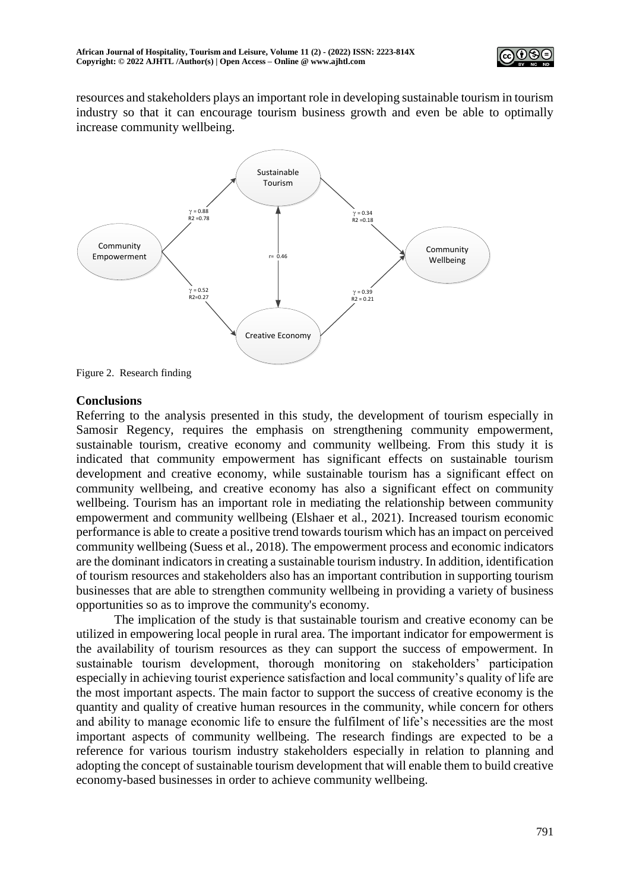

resources and stakeholders plays an important role in developing sustainable tourism in tourism industry so that it can encourage tourism business growth and even be able to optimally increase community wellbeing.



Figure 2. Research finding

## **Conclusions**

Referring to the analysis presented in this study, the development of tourism especially in Samosir Regency, requires the emphasis on strengthening community empowerment, sustainable tourism, creative economy and community wellbeing. From this study it is indicated that community empowerment has significant effects on sustainable tourism development and creative economy, while sustainable tourism has a significant effect on community wellbeing, and creative economy has also a significant effect on community wellbeing. Tourism has an important role in mediating the relationship between community empowerment and community wellbeing (Elshaer et al., 2021). Increased tourism economic performance is able to create a positive trend towards tourism which has an impact on perceived community wellbeing (Suess et al., 2018). The empowerment process and economic indicators are the dominant indicators in creating a sustainable tourism industry. In addition, identification of tourism resources and stakeholders also has an important contribution in supporting tourism businesses that are able to strengthen community wellbeing in providing a variety of business opportunities so as to improve the community's economy.

The implication of the study is that sustainable tourism and creative economy can be utilized in empowering local people in rural area. The important indicator for empowerment is the availability of tourism resources as they can support the success of empowerment. In sustainable tourism development, thorough monitoring on stakeholders' participation especially in achieving tourist experience satisfaction and local community's quality of life are the most important aspects. The main factor to support the success of creative economy is the quantity and quality of creative human resources in the community, while concern for others and ability to manage economic life to ensure the fulfilment of life's necessities are the most important aspects of community wellbeing. The research findings are expected to be a reference for various tourism industry stakeholders especially in relation to planning and adopting the concept of sustainable tourism development that will enable them to build creative economy-based businesses in order to achieve community wellbeing.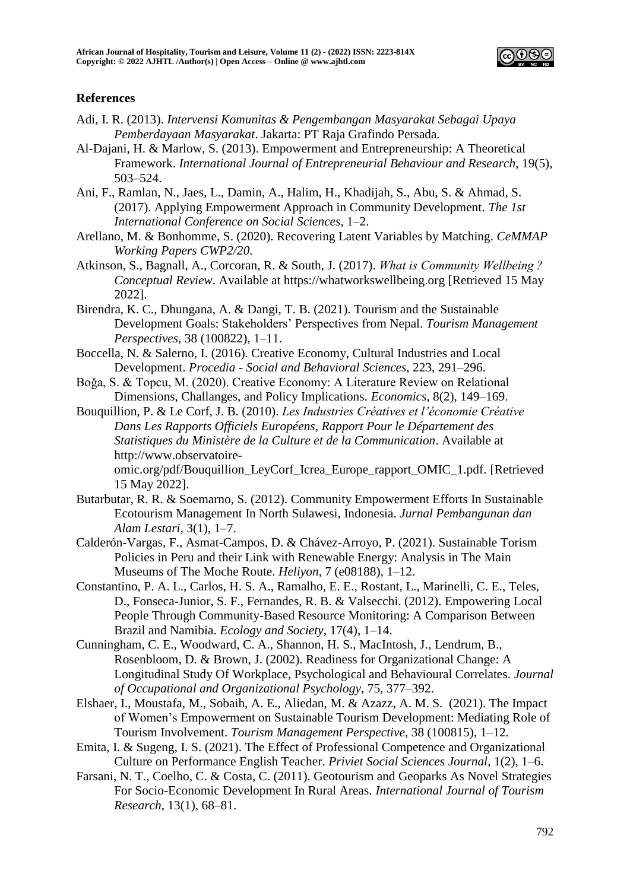

# **References**

- Adi, I. R. (2013). *Intervensi Komunitas & Pengembangan Masyarakat Sebagai Upaya Pemberdayaan Masyarakat*. Jakarta: PT Raja Grafindo Persada.
- Al-Dajani, H. & Marlow, S. (2013). Empowerment and Entrepreneurship: A Theoretical Framework. *International Journal of Entrepreneurial Behaviour and Research*, 19(5), 503–524.
- Ani, F., Ramlan, N., Jaes, L., Damin, A., Halim, H., Khadijah, S., Abu, S. & Ahmad, S. (2017). Applying Empowerment Approach in Community Development. *The 1st International Conference on Social Sciences*, 1–2.
- Arellano, M. & Bonhomme, S. (2020). Recovering Latent Variables by Matching. *CeMMAP Working Papers CWP2/20.*
- Atkinson, S., Bagnall, A., Corcoran, R. & South, J. (2017). *What is Community Wellbeing ? Conceptual Review*. Available at https://whatworkswellbeing.org [Retrieved 15 May 2022].
- Birendra, K. C., Dhungana, A. & Dangi, T. B. (2021). Tourism and the Sustainable Development Goals: Stakeholders' Perspectives from Nepal. *Tourism Management Perspectives*, 38 (100822), 1–11.
- Boccella, N. & Salerno, I. (2016). Creative Economy, Cultural Industries and Local Development. *Procedia - Social and Behavioral Sciences*, 223, 291–296.
- Boǧa, S. & Topcu, M. (2020). Creative Economy: A Literature Review on Relational Dimensions, Challanges, and Policy Implications. *Economics*, 8(2), 149–169.
- Bouquillion, P. & Le Corf, J. B. (2010). *Les Industries Créatives et l'économie Créative Dans Les Rapports Officiels Européens*, *Rapport Pour le Département des Statistiques du Ministère de la Culture et de la Communication*. Available at http://www.observatoire-

omic.org/pdf/Bouquillion\_LeyCorf\_Icrea\_Europe\_rapport\_OMIC\_1.pdf. [Retrieved 15 May 2022].

- Butarbutar, R. R. & Soemarno, S. (2012). Community Empowerment Efforts In Sustainable Ecotourism Management In North Sulawesi, Indonesia. *Jurnal Pembangunan dan Alam Lestari*, 3(1), 1–7.
- Calderón-Vargas, F., Asmat-Campos, D. & Chávez-Arroyo, P. (2021). Sustainable Torism Policies in Peru and their Link with Renewable Energy: Analysis in The Main Museums of The Moche Route. *Heliyon*, 7 (e08188), 1–12.
- Constantino, P. A. L., Carlos, H. S. A., Ramalho, E. E., Rostant, L., Marinelli, C. E., Teles, D., Fonseca-Junior, S. F., Fernandes, R. B. & Valsecchi. (2012). Empowering Local People Through Community-Based Resource Monitoring: A Comparison Between Brazil and Namibia. *Ecology and Society*, 17(4), 1–14.
- Cunningham, C. E., Woodward, C. A., Shannon, H. S., MacIntosh, J., Lendrum, B., Rosenbloom, D. & Brown, J. (2002). Readiness for Organizational Change: A Longitudinal Study Of Workplace, Psychological and Behavioural Correlates. *Journal of Occupational and Organizational Psychology*, 75, 377–392.
- Elshaer, I., Moustafa, M., Sobaih, A. E., Aliedan, M. & Azazz, A. M. S. (2021). The Impact of Women's Empowerment on Sustainable Tourism Development: Mediating Role of Tourism Involvement. *Tourism Management Perspective,* 38 (100815), 1–12.
- Emita, I. & Sugeng, I. S. (2021). The Effect of Professional Competence and Organizational Culture on Performance English Teacher. *Priviet Social Sciences Journal*, 1(2), 1–6.
- Farsani, N. T., Coelho, C. & Costa, C. (2011). Geotourism and Geoparks As Novel Strategies For Socio-Economic Development In Rural Areas. *International Journal of Tourism Research*, 13(1), 68–81.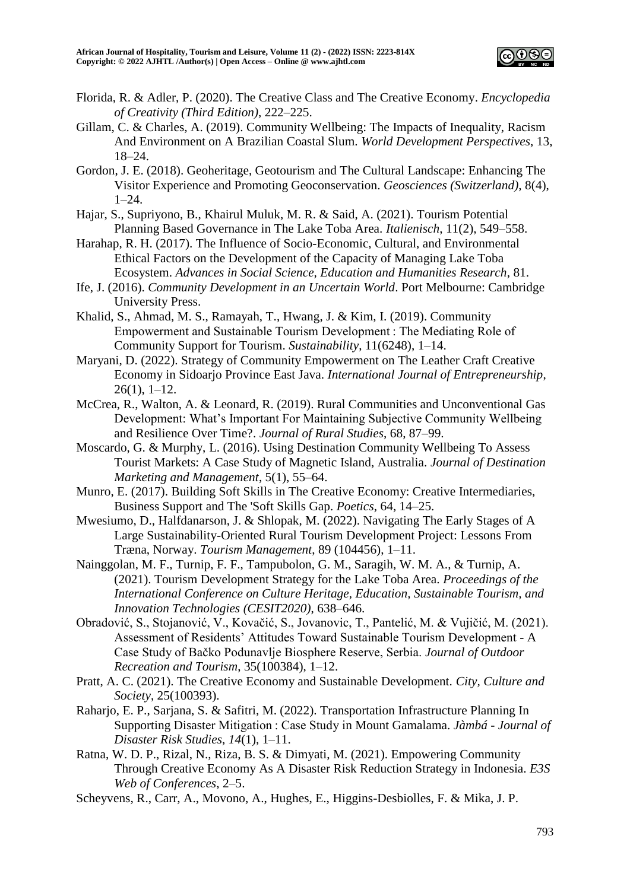

- Florida, R. & Adler, P. (2020). The Creative Class and The Creative Economy. *Encyclopedia of Creativity (Third Edition)*, 222–225.
- Gillam, C. & Charles, A. (2019). Community Wellbeing: The Impacts of Inequality, Racism And Environment on A Brazilian Coastal Slum. *World Development Perspectives*, 13, 18–24.
- Gordon, J. E. (2018). Geoheritage, Geotourism and The Cultural Landscape: Enhancing The Visitor Experience and Promoting Geoconservation. *Geosciences (Switzerland)*, 8(4), 1–24.
- Hajar, S., Supriyono, B., Khairul Muluk, M. R. & Said, A. (2021). Tourism Potential Planning Based Governance in The Lake Toba Area. *Italienisch*, 11(2), 549–558.
- Harahap, R. H. (2017). The Influence of Socio-Economic, Cultural, and Environmental Ethical Factors on the Development of the Capacity of Managing Lake Toba Ecosystem. *Advances in Social Science, Education and Humanities Research*, 81.
- Ife, J. (2016). *Community Development in an Uncertain World*. Port Melbourne: Cambridge University Press.
- Khalid, S., Ahmad, M. S., Ramayah, T., Hwang, J. & Kim, I. (2019). Community Empowerment and Sustainable Tourism Development : The Mediating Role of Community Support for Tourism. *Sustainability*, 11(6248), 1–14.
- Maryani, D. (2022). Strategy of Community Empowerment on The Leather Craft Creative Economy in Sidoarjo Province East Java. *International Journal of Entrepreneurship*, 26(1), 1–12.
- McCrea, R., Walton, A. & Leonard, R. (2019). Rural Communities and Unconventional Gas Development: What's Important For Maintaining Subjective Community Wellbeing and Resilience Over Time?. *Journal of Rural Studies*, 68, 87–99.
- Moscardo, G. & Murphy, L. (2016). Using Destination Community Wellbeing To Assess Tourist Markets: A Case Study of Magnetic Island, Australia. *Journal of Destination Marketing and Management*, 5(1), 55–64.
- Munro, E. (2017). Building Soft Skills in The Creative Economy: Creative Intermediaries, Business Support and The 'Soft Skills Gap. *Poetics*, 64, 14–25.
- Mwesiumo, D., Halfdanarson, J. & Shlopak, M. (2022). Navigating The Early Stages of A Large Sustainability-Oriented Rural Tourism Development Project: Lessons From Træna, Norway. *Tourism Management*, 89 (104456), 1–11.
- Nainggolan, M. F., Turnip, F. F., Tampubolon, G. M., Saragih, W. M. A., & Turnip, A. (2021). Tourism Development Strategy for the Lake Toba Area. *Proceedings of the International Conference on Culture Heritage, Education, Sustainable Tourism, and Innovation Technologies (CESIT2020)*, 638–646.
- Obradović, S., Stojanović, V., Kovačić, S., Jovanovic, T., Pantelić, M. & Vujičić, M. (2021). Assessment of Residents' Attitudes Toward Sustainable Tourism Development - A Case Study of Bačko Podunavlje Biosphere Reserve, Serbia. *Journal of Outdoor Recreation and Tourism*, 35(100384), 1–12.
- Pratt, A. C. (2021). The Creative Economy and Sustainable Development. *City, Culture and Society*, 25(100393).
- Raharjo, E. P., Sarjana, S. & Safitri, M. (2022). Transportation Infrastructure Planning In Supporting Disaster Mitigation : Case Study in Mount Gamalama. *Jàmbá - Journal of Disaster Risk Studies*, *14*(1), 1–11.
- Ratna, W. D. P., Rizal, N., Riza, B. S. & Dimyati, M. (2021). Empowering Community Through Creative Economy As A Disaster Risk Reduction Strategy in Indonesia. *E3S Web of Conferences*, 2–5.
- Scheyvens, R., Carr, A., Movono, A., Hughes, E., Higgins-Desbiolles, F. & Mika, J. P.